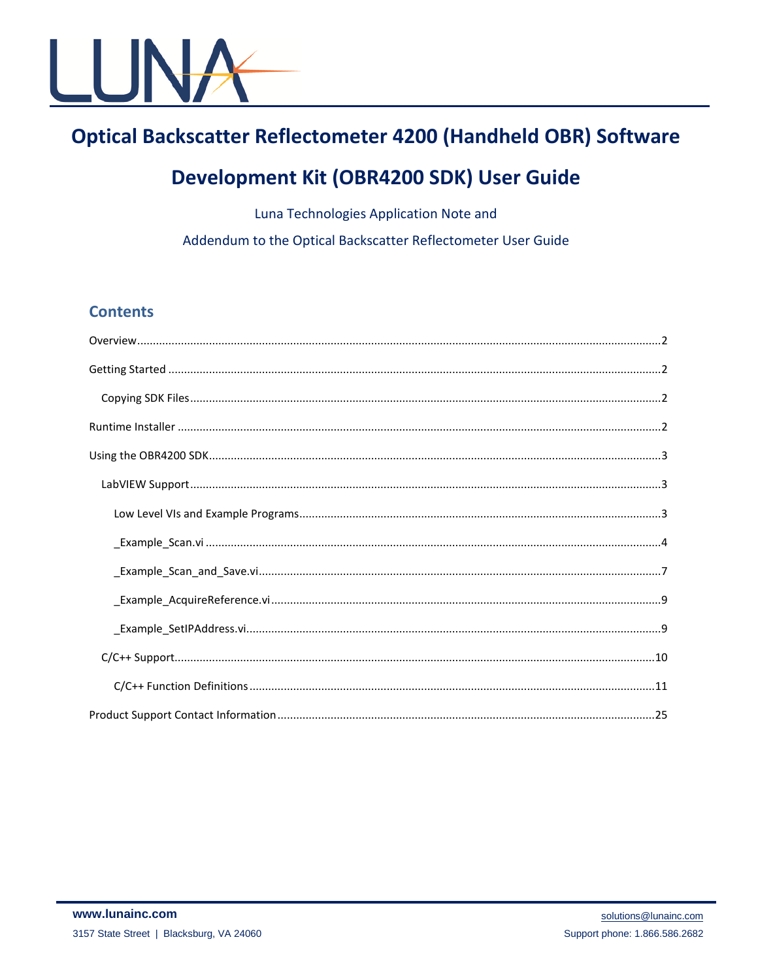

# **Optical Backscatter Reflectometer 4200 (Handheld OBR) Software**

# Development Kit (OBR4200 SDK) User Guide

Luna Technologies Application Note and

Addendum to the Optical Backscatter Reflectometer User Guide

## **Contents**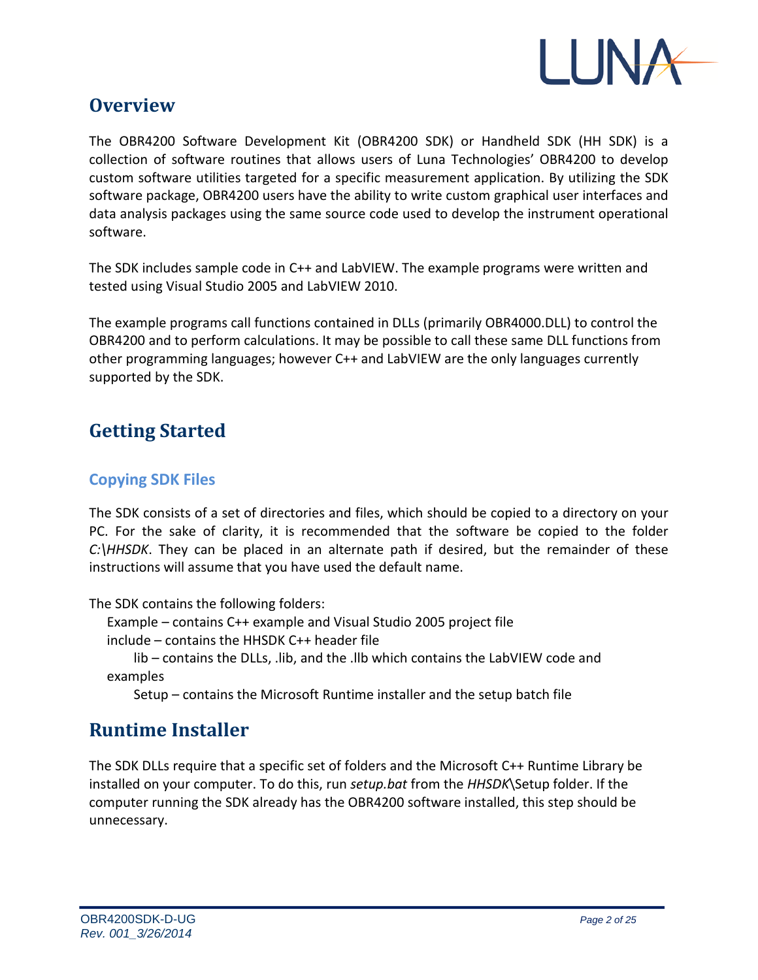

## **Overview**

The OBR4200 Software Development Kit (OBR4200 SDK) or Handheld SDK (HH SDK) is a collection of software routines that allows users of Luna Technologies' OBR4200 to develop custom software utilities targeted for a specific measurement application. By utilizing the SDK software package, OBR4200 users have the ability to write custom graphical user interfaces and data analysis packages using the same source code used to develop the instrument operational software.

The SDK includes sample code in C++ and LabVIEW. The example programs were written and tested using Visual Studio 2005 and LabVIEW 2010.

The example programs call functions contained in DLLs (primarily OBR4000.DLL) to control the OBR4200 and to perform calculations. It may be possible to call these same DLL functions from other programming languages; however C++ and LabVIEW are the only languages currently supported by the SDK.

# **Getting Started**

## **Copying SDK Files**

The SDK consists of a set of directories and files, which should be copied to a directory on your PC. For the sake of clarity, it is recommended that the software be copied to the folder *C:\HHSDK*. They can be placed in an alternate path if desired, but the remainder of these instructions will assume that you have used the default name.

The SDK contains the following folders:

Example – contains C++ example and Visual Studio 2005 project file

include – contains the HHSDK C++ header file

lib – contains the DLLs, .lib, and the .llb which contains the LabVIEW code and examples

Setup – contains the Microsoft Runtime installer and the setup batch file

## **Runtime Installer**

The SDK DLLs require that a specific set of folders and the Microsoft C++ Runtime Library be installed on your computer. To do this, run *setup.bat* from the *HHSDK*\Setup folder. If the computer running the SDK already has the OBR4200 software installed, this step should be unnecessary.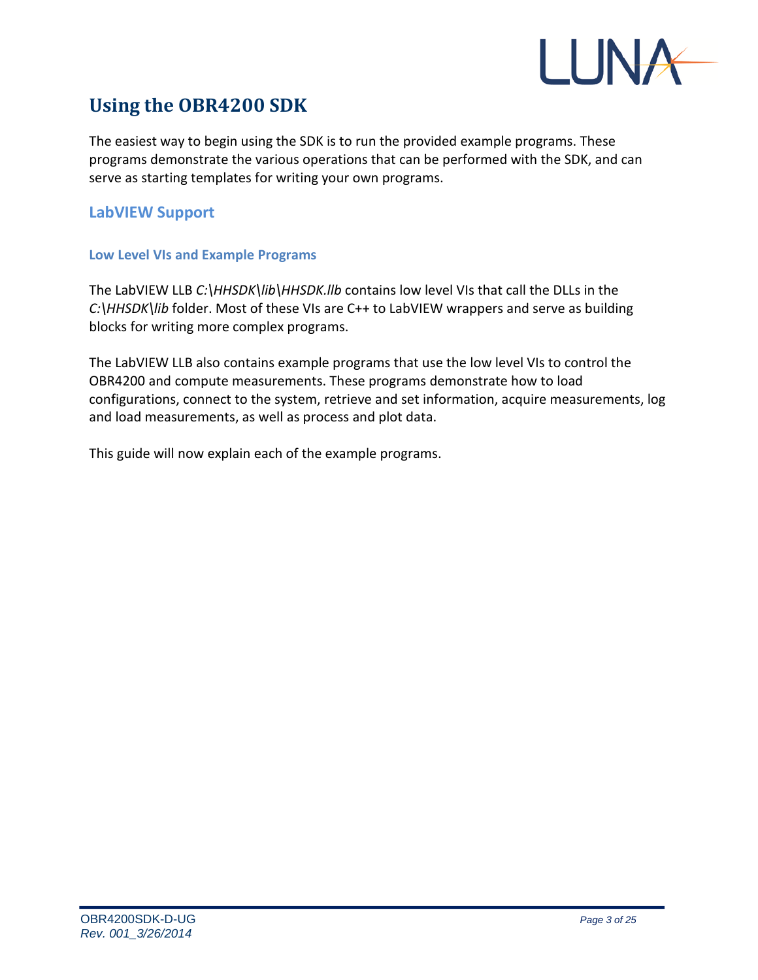

# **Using the OBR4200 SDK**

The easiest way to begin using the SDK is to run the provided example programs. These programs demonstrate the various operations that can be performed with the SDK, and can serve as starting templates for writing your own programs.

## **LabVIEW Support**

## **Low Level VIs and Example Programs**

The LabVIEW LLB *C:\HHSDK\lib\HHSDK.llb* contains low level VIs that call the DLLs in the *C:\HHSDK\lib* folder. Most of these VIs are C++ to LabVIEW wrappers and serve as building blocks for writing more complex programs.

The LabVIEW LLB also contains example programs that use the low level VIs to control the OBR4200 and compute measurements. These programs demonstrate how to load configurations, connect to the system, retrieve and set information, acquire measurements, log and load measurements, as well as process and plot data.

This guide will now explain each of the example programs.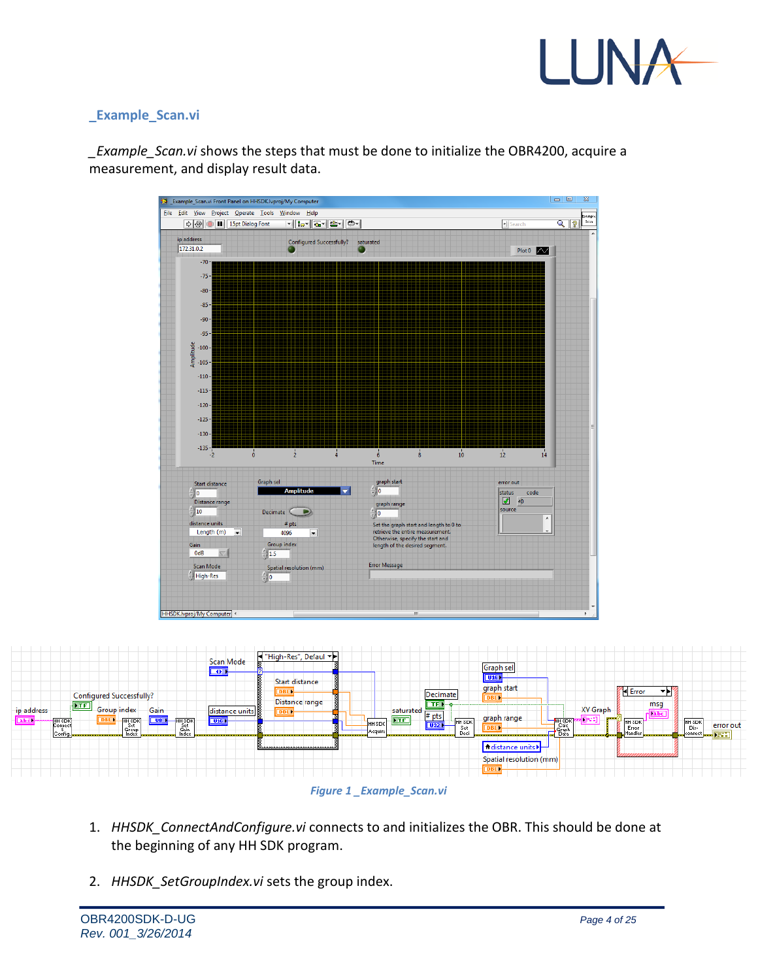

## **\_Example\_Scan.vi**

*\_Example\_Scan.vi* shows the steps that must be done to initialize the OBR4200, acquire a measurement, and display result data.





![](_page_3_Figure_5.jpeg)

- 1. *HHSDK\_ConnectAndConfigure.vi* connects to and initializes the OBR. This should be done at the beginning of any HH SDK program.
- 2. *HHSDK\_SetGroupIndex.vi* sets the group index.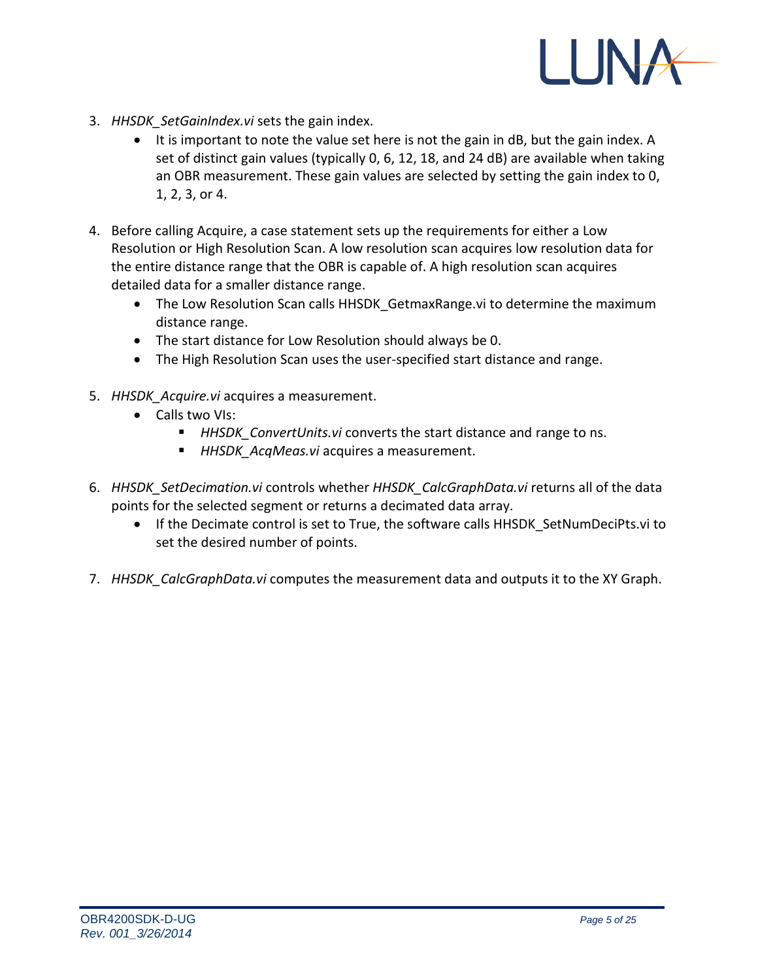![](_page_4_Picture_0.jpeg)

- 3. *HHSDK\_SetGainIndex.vi* sets the gain index.
	- It is important to note the value set here is not the gain in dB, but the gain index. A set of distinct gain values (typically 0, 6, 12, 18, and 24 dB) are available when taking an OBR measurement. These gain values are selected by setting the gain index to 0, 1, 2, 3, or 4.
- 4. Before calling Acquire, a case statement sets up the requirements for either a Low Resolution or High Resolution Scan. A low resolution scan acquires low resolution data for the entire distance range that the OBR is capable of. A high resolution scan acquires detailed data for a smaller distance range.
	- The Low Resolution Scan calls HHSDK GetmaxRange.vi to determine the maximum distance range.
	- The start distance for Low Resolution should always be 0.
	- The High Resolution Scan uses the user-specified start distance and range.
- 5. *HHSDK\_Acquire.vi* acquires a measurement.
	- Calls two VIs:
		- *HHSDK\_ConvertUnits.vi* converts the start distance and range to ns.
		- *HHSDK\_AcqMeas.vi* acquires a measurement.
- 6. *HHSDK\_SetDecimation.vi* controls whether *HHSDK\_CalcGraphData.vi* returns all of the data points for the selected segment or returns a decimated data array.
	- If the Decimate control is set to True, the software calls HHSDK SetNumDeciPts.vi to set the desired number of points.
- 7. *HHSDK\_CalcGraphData.vi* computes the measurement data and outputs it to the XY Graph.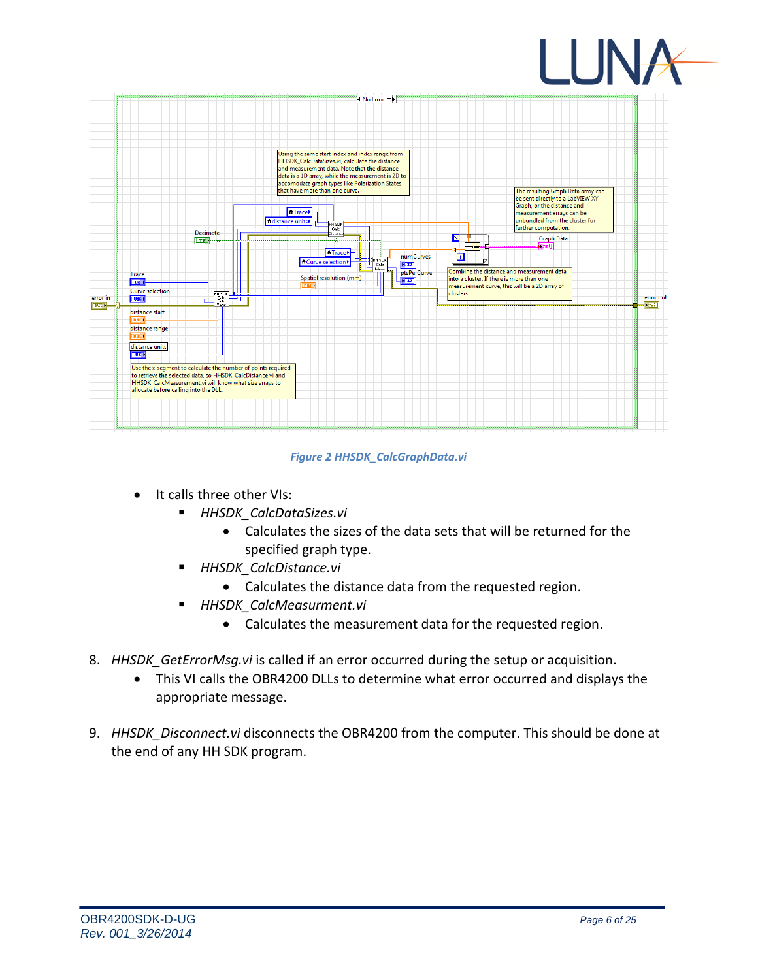![](_page_5_Picture_0.jpeg)

![](_page_5_Figure_1.jpeg)

#### *Figure 2 HHSDK\_CalcGraphData.vi*

- It calls three other VIs:
	- *HHSDK\_CalcDataSizes.vi*
		- Calculates the sizes of the data sets that will be returned for the specified graph type.
	- *HHSDK\_CalcDistance.vi*
		- Calculates the distance data from the requested region.
	- *HHSDK\_CalcMeasurment.vi*
		- Calculates the measurement data for the requested region.
- 8. *HHSDK GetErrorMsg.vi* is called if an error occurred during the setup or acquisition.
	- This VI calls the OBR4200 DLLs to determine what error occurred and displays the appropriate message.
- 9. *HHSDK\_Disconnect.vi* disconnects the OBR4200 from the computer. This should be done at the end of any HH SDK program.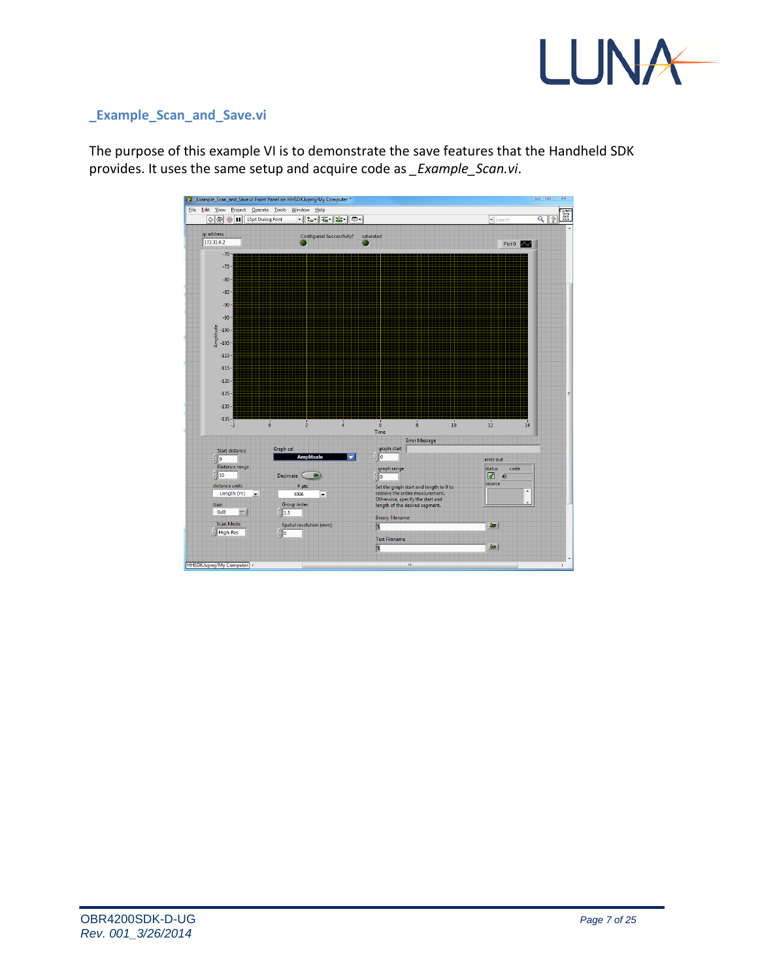![](_page_6_Picture_0.jpeg)

## **\_Example\_Scan\_and\_Save.vi**

The purpose of this example VI is to demonstrate the save features that the Handheld SDK provides. It uses the same setup and acquire code as *\_Example\_Scan.vi*.

![](_page_6_Figure_3.jpeg)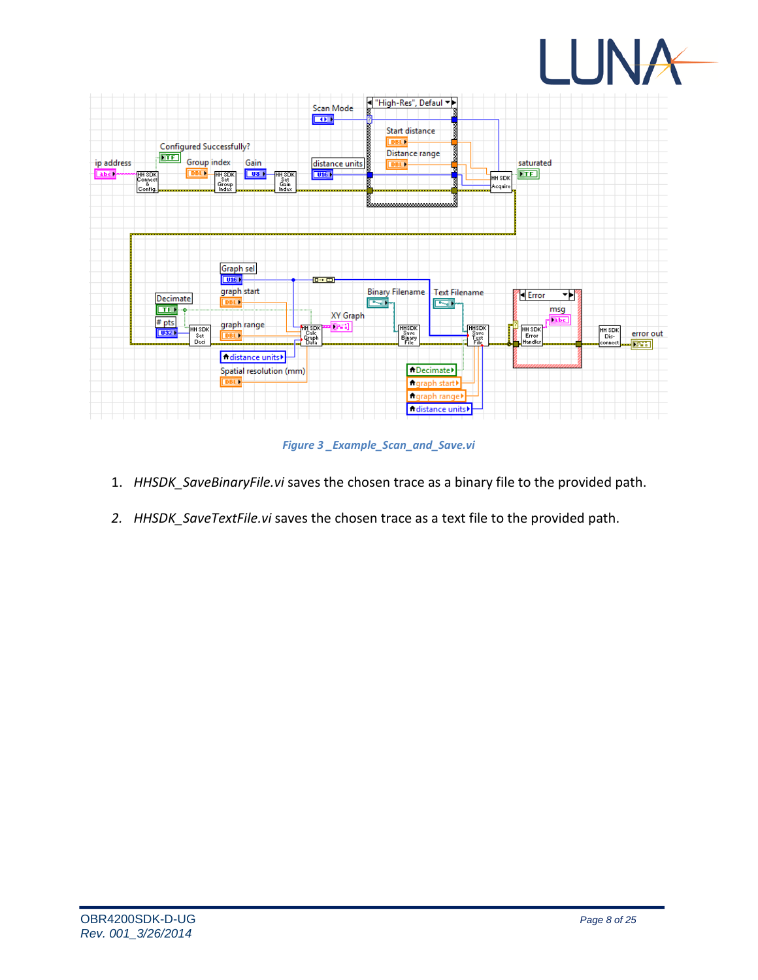![](_page_7_Picture_0.jpeg)

![](_page_7_Figure_1.jpeg)

*Figure 3 \_Example\_Scan\_and\_Save.vi*

- 1. *HHSDK\_SaveBinaryFile.vi* saves the chosen trace as a binary file to the provided path.
- *2. HHSDK\_SaveTextFile.vi* saves the chosen trace as a text file to the provided path.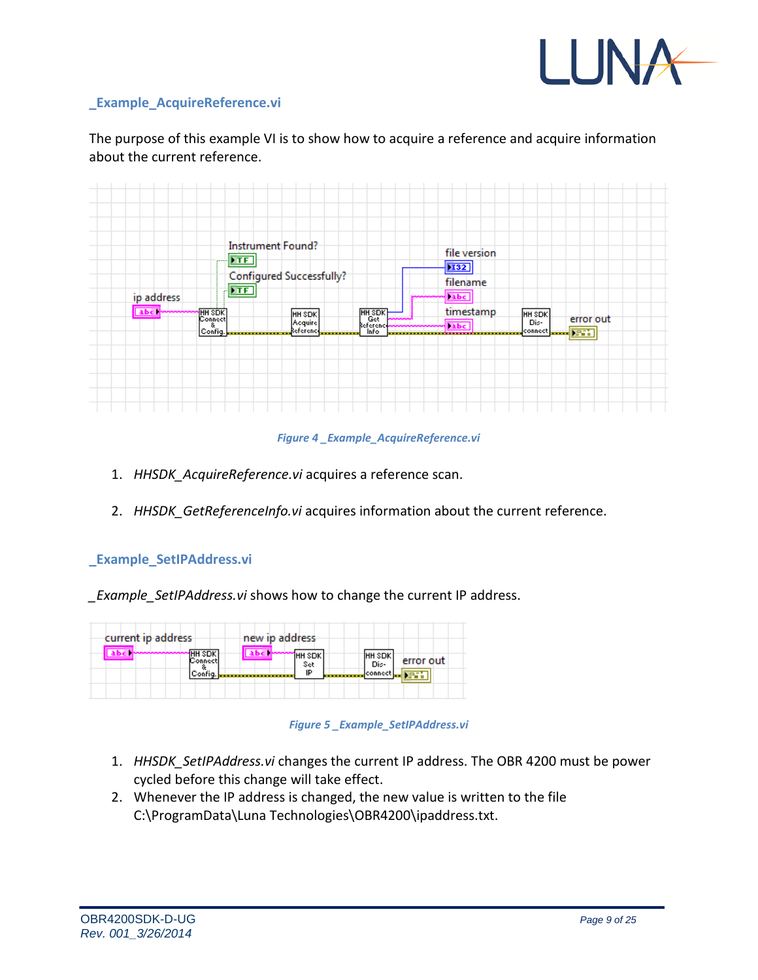![](_page_8_Picture_0.jpeg)

## **\_Example\_AcquireReference.vi**

The purpose of this example VI is to show how to acquire a reference and acquire information about the current reference.

![](_page_8_Figure_3.jpeg)

#### *Figure 4 \_Example\_AcquireReference.vi*

- 1. *HHSDK\_AcquireReference.vi* acquires a reference scan.
- 2. *HHSDK\_GetReferenceInfo.vi* acquires information about the current reference.

## **\_Example\_SetIPAddress.vi**

*\_Example\_SetIPAddress.vi* shows how to change the current IP address.

| current ip address       | new ip address         |                               |
|--------------------------|------------------------|-------------------------------|
| <b>HH SDK</b><br>Connect | 1нн sdk<br>Set         | IHH SDKI<br>error out<br>Dis- |
| Config.                  | IP<br>---------------- | demand connects.              |

*Figure 5 \_Example\_SetIPAddress.vi*

- 1. *HHSDK\_SetIPAddress.vi* changes the current IP address. The OBR 4200 must be power cycled before this change will take effect.
- 2. Whenever the IP address is changed, the new value is written to the file C:\ProgramData\Luna Technologies\OBR4200\ipaddress.txt.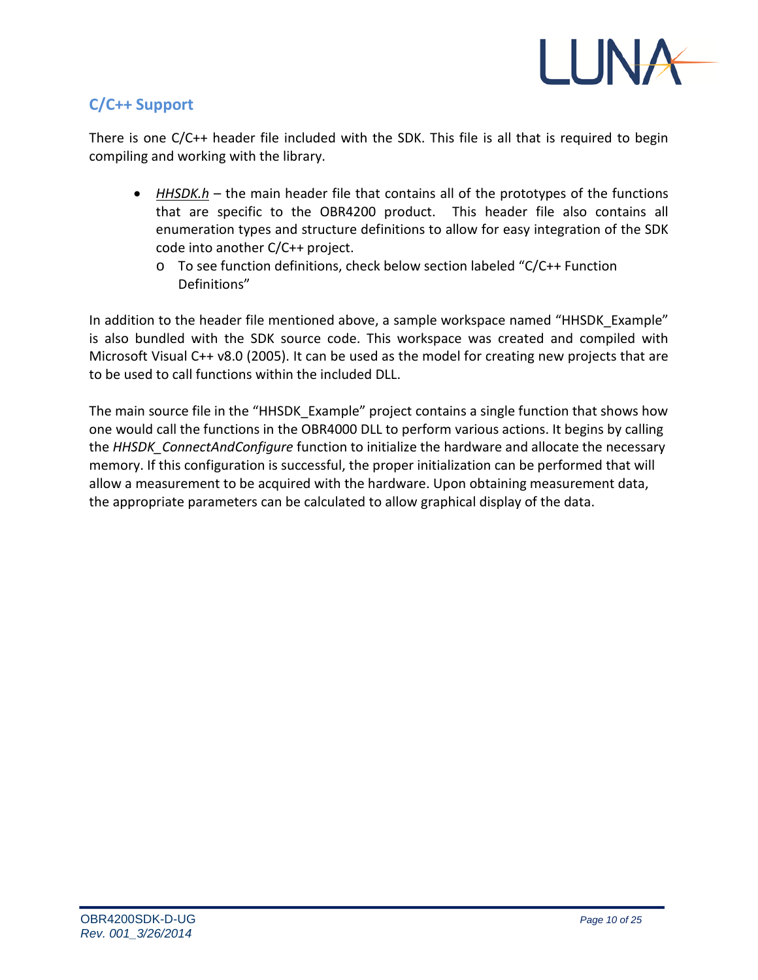![](_page_9_Picture_0.jpeg)

## **C/C++ Support**

There is one C/C++ header file included with the SDK. This file is all that is required to begin compiling and working with the library.

- *HHSDK.h* the main header file that contains all of the prototypes of the functions that are specific to the OBR4200 product. This header file also contains all enumeration types and structure definitions to allow for easy integration of the SDK code into another C/C++ project.
	- o To see function definitions, check below section labeled "C/C++ Function Definitions"

In addition to the header file mentioned above, a sample workspace named "HHSDK\_Example" is also bundled with the SDK source code. This workspace was created and compiled with Microsoft Visual C++ v8.0 (2005). It can be used as the model for creating new projects that are to be used to call functions within the included DLL.

The main source file in the "HHSDK Example" project contains a single function that shows how one would call the functions in the OBR4000 DLL to perform various actions. It begins by calling the *HHSDK\_ConnectAndConfigure* function to initialize the hardware and allocate the necessary memory. If this configuration is successful, the proper initialization can be performed that will allow a measurement to be acquired with the hardware. Upon obtaining measurement data, the appropriate parameters can be calculated to allow graphical display of the data.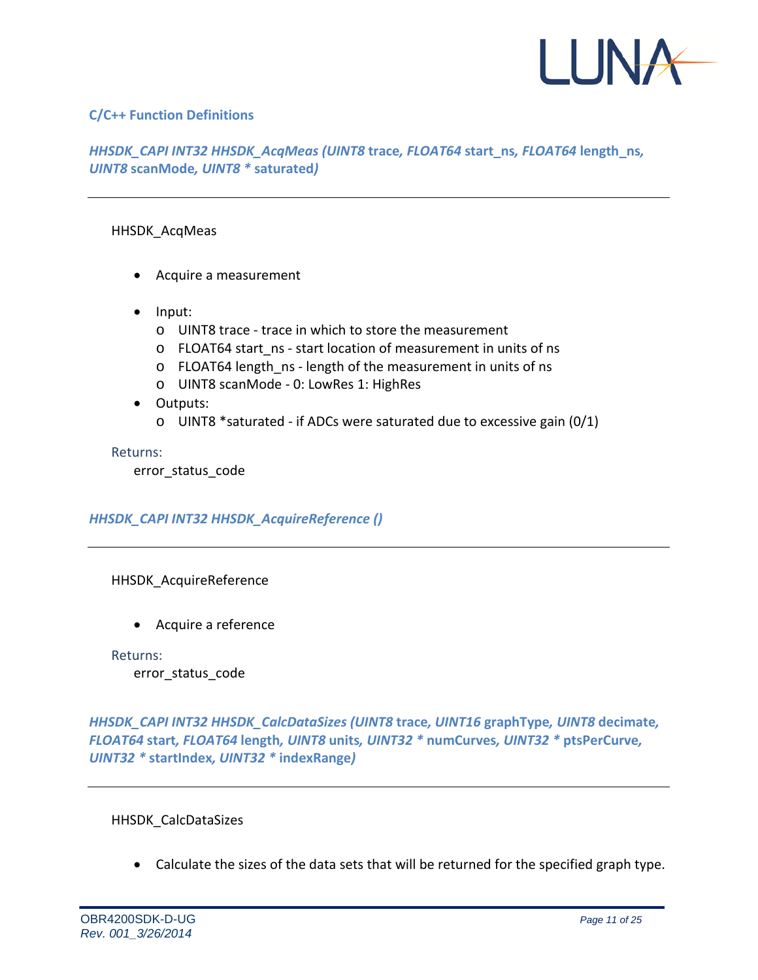![](_page_10_Picture_0.jpeg)

## **C/C++ Function Definitions**

## *HHSDK\_CAPI INT32 HHSDK\_AcqMeas (UINT8* **trace***, FLOAT64* **start\_ns***, FLOAT64* **length\_ns***, UINT8* **scanMode***, UINT8 \** **saturated***)*

### HHSDK\_AcqMeas

- Acquire a measurement
- Input:
	- o UINT8 trace trace in which to store the measurement
	- o FLOAT64 start\_ns start location of measurement in units of ns
	- o FLOAT64 length ns length of the measurement in units of ns
	- o UINT8 scanMode 0: LowRes 1: HighRes
- Outputs:
	- o UINT8 \*saturated if ADCs were saturated due to excessive gain (0/1)

Returns:

error status code

## *HHSDK\_CAPI INT32 HHSDK\_AcquireReference ()*

## HHSDK\_AcquireReference

• Acquire a reference

Returns: error\_status\_code

*HHSDK\_CAPI INT32 HHSDK\_CalcDataSizes (UINT8* **trace***, UINT16* **graphType***, UINT8* **decimate***, FLOAT64* **start***, FLOAT64* **length***, UINT8* **units***, UINT32 \** **numCurves***, UINT32 \** **ptsPerCurve***, UINT32 \** **startIndex***, UINT32 \** **indexRange***)*

## HHSDK\_CalcDataSizes

• Calculate the sizes of the data sets that will be returned for the specified graph type.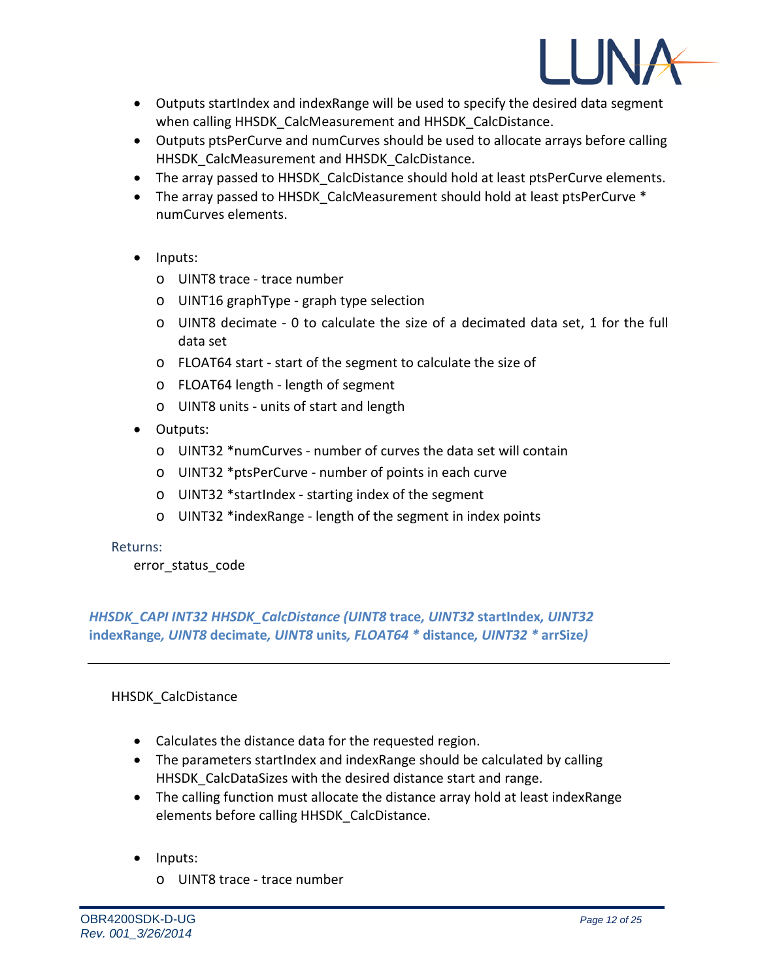![](_page_11_Picture_0.jpeg)

- Outputs startIndex and indexRange will be used to specify the desired data segment when calling HHSDK\_CalcMeasurement and HHSDK\_CalcDistance.
- Outputs ptsPerCurve and numCurves should be used to allocate arrays before calling HHSDK CalcMeasurement and HHSDK CalcDistance.
- The array passed to HHSDK CalcDistance should hold at least ptsPerCurve elements.
- The array passed to HHSDK CalcMeasurement should hold at least ptsPerCurve \* numCurves elements.
- Inputs:
	- o UINT8 trace trace number
	- o UINT16 graphType graph type selection
	- $\circ$  UINT8 decimate 0 to calculate the size of a decimated data set, 1 for the full data set
	- o FLOAT64 start start of the segment to calculate the size of
	- o FLOAT64 length length of segment
	- o UINT8 units units of start and length
- Outputs:
	- o UINT32 \*numCurves number of curves the data set will contain
	- o UINT32 \*ptsPerCurve number of points in each curve
	- o UINT32 \*startIndex starting index of the segment
	- o UINT32 \*indexRange length of the segment in index points

error\_status\_code

*HHSDK\_CAPI INT32 HHSDK\_CalcDistance (UINT8* **trace***, UINT32* **startIndex***, UINT32*  **indexRange***, UINT8* **decimate***, UINT8* **units***, FLOAT64 \** **distance***, UINT32 \** **arrSize***)*

## HHSDK\_CalcDistance

- Calculates the distance data for the requested region.
- The parameters startIndex and indexRange should be calculated by calling HHSDK CalcDataSizes with the desired distance start and range.
- The calling function must allocate the distance array hold at least indexRange elements before calling HHSDK\_CalcDistance.
- Inputs:
	- o UINT8 trace trace number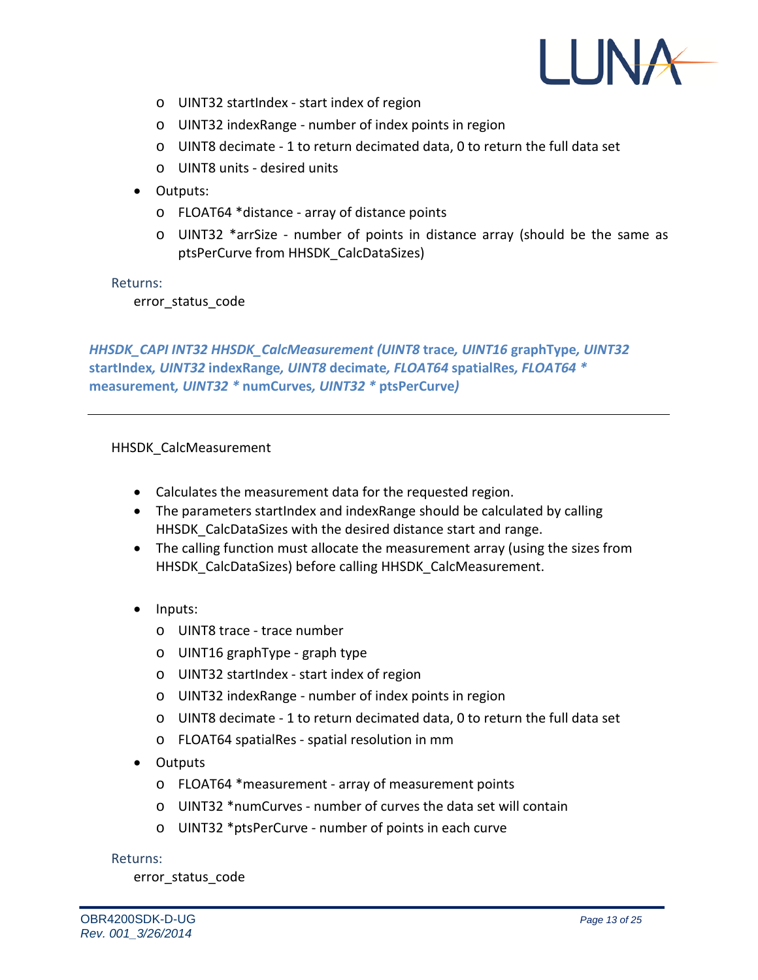![](_page_12_Picture_0.jpeg)

- o UINT32 startIndex start index of region
- o UINT32 indexRange number of index points in region
- o UINT8 decimate 1 to return decimated data, 0 to return the full data set
- o UINT8 units desired units
- Outputs:
	- o FLOAT64 \*distance array of distance points
	- o UINT32 \*arrSize number of points in distance array (should be the same as ptsPerCurve from HHSDK\_CalcDataSizes)

error\_status\_code

*HHSDK\_CAPI INT32 HHSDK\_CalcMeasurement (UINT8* **trace***, UINT16* **graphType***, UINT32*  **startIndex***, UINT32* **indexRange***, UINT8* **decimate***, FLOAT64* **spatialRes***, FLOAT64 \**  **measurement***, UINT32 \** **numCurves***, UINT32 \** **ptsPerCurve***)*

## HHSDK\_CalcMeasurement

- Calculates the measurement data for the requested region.
- The parameters startIndex and indexRange should be calculated by calling HHSDK\_CalcDataSizes with the desired distance start and range.
- The calling function must allocate the measurement array (using the sizes from HHSDK\_CalcDataSizes) before calling HHSDK\_CalcMeasurement.
- Inputs:
	- o UINT8 trace trace number
	- o UINT16 graphType graph type
	- o UINT32 startIndex start index of region
	- o UINT32 indexRange number of index points in region
	- o UINT8 decimate 1 to return decimated data, 0 to return the full data set
	- o FLOAT64 spatialRes spatial resolution in mm
- Outputs
	- o FLOAT64 \*measurement array of measurement points
	- o UINT32 \*numCurves number of curves the data set will contain
	- o UINT32 \*ptsPerCurve number of points in each curve

Returns:

error status code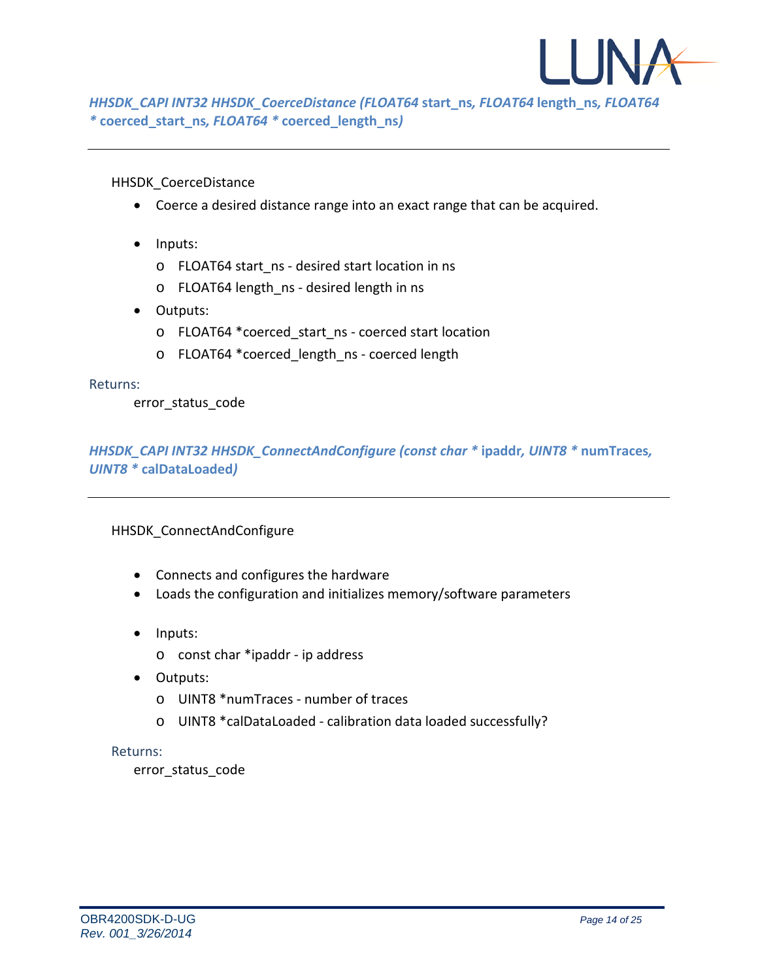![](_page_13_Picture_0.jpeg)

*HHSDK\_CAPI INT32 HHSDK\_CoerceDistance (FLOAT64* **start\_ns***, FLOAT64* **length\_ns***, FLOAT64 \** **coerced\_start\_ns***, FLOAT64 \** **coerced\_length\_ns***)*

HHSDK\_CoerceDistance

- Coerce a desired distance range into an exact range that can be acquired.
- Inputs:
	- o FLOAT64 start\_ns desired start location in ns
	- o FLOAT64 length\_ns desired length in ns
- Outputs:
	- o FLOAT64 \*coerced\_start\_ns coerced start location
	- o FLOAT64 \* coerced length ns coerced length

#### Returns:

error status code

*HHSDK\_CAPI INT32 HHSDK\_ConnectAndConfigure (const char \** **ipaddr***, UINT8 \** **numTraces***, UINT8 \** **calDataLoaded***)*

HHSDK\_ConnectAndConfigure

- Connects and configures the hardware
- Loads the configuration and initializes memory/software parameters
- Inputs:
	- o const char \*ipaddr ip address
- Outputs:
	- o UINT8 \*numTraces number of traces
	- o UINT8 \*calDataLoaded calibration data loaded successfully?

#### Returns:

error\_status\_code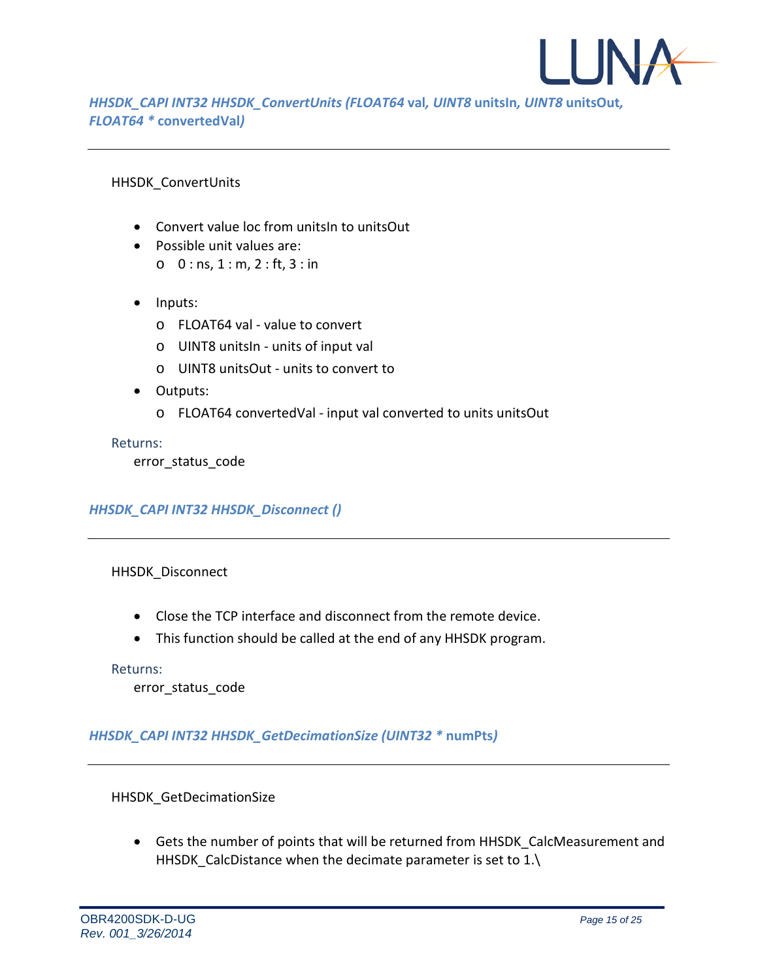![](_page_14_Picture_0.jpeg)

*HHSDK\_CAPI INT32 HHSDK\_ConvertUnits (FLOAT64* **val***, UINT8* **unitsIn***, UINT8* **unitsOut***, FLOAT64 \** **convertedVal***)*

## HHSDK\_ConvertUnits

- Convert value loc from unitsIn to unitsOut
- Possible unit values are:
	- $0 : ns, 1 : m, 2 : ft, 3 : in$
- Inputs:
	- o FLOAT64 val value to convert
	- o UINT8 unitsIn units of input val
	- o UINT8 unitsOut units to convert to
- Outputs:
	- o FLOAT64 convertedVal input val converted to units unitsOut

Returns:

error status code

## *HHSDK\_CAPI INT32 HHSDK\_Disconnect ()*

## HHSDK\_Disconnect

- Close the TCP interface and disconnect from the remote device.
- This function should be called at the end of any HHSDK program.

#### Returns:

error status code

## *HHSDK\_CAPI INT32 HHSDK\_GetDecimationSize (UINT32 \** **numPts***)*

HHSDK\_GetDecimationSize

• Gets the number of points that will be returned from HHSDK\_CalcMeasurement and HHSDK CalcDistance when the decimate parameter is set to  $1.\n\$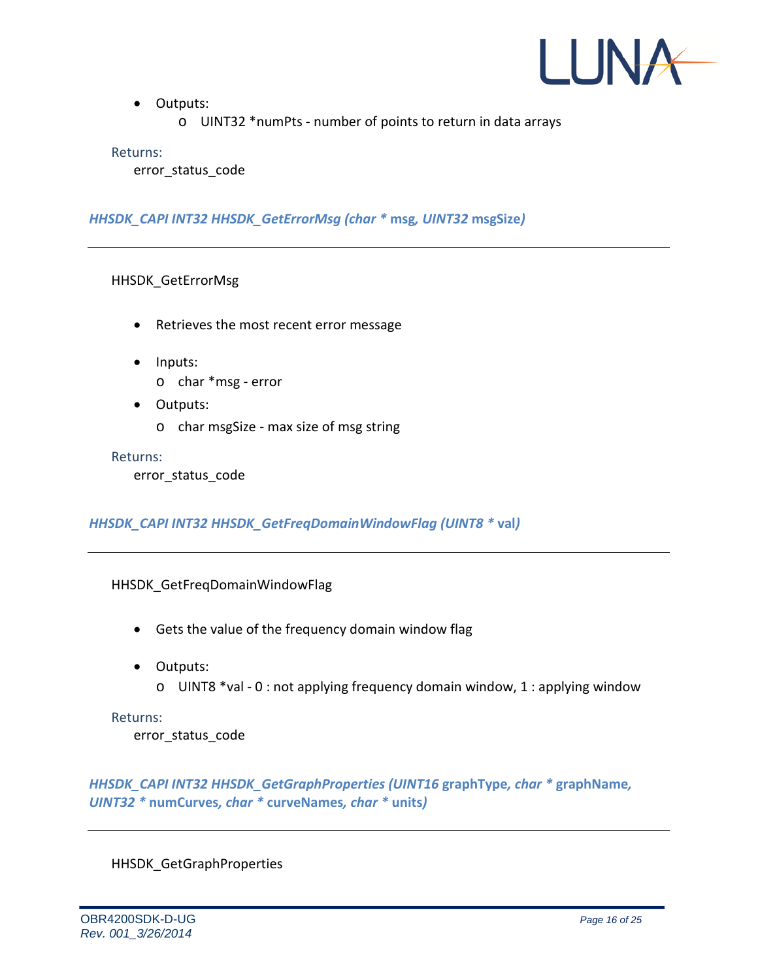![](_page_15_Picture_0.jpeg)

- Outputs:
	- o UINT32 \*numPts number of points to return in data arrays

error\_status\_code

## *HHSDK\_CAPI INT32 HHSDK\_GetErrorMsg (char \** **msg***, UINT32* **msgSize***)*

HHSDK\_GetErrorMsg

- Retrieves the most recent error message
- Inputs:
	- o char \*msg error
- Outputs:
	- o char msgSize max size of msg string

#### Returns:

error status code

*HHSDK\_CAPI INT32 HHSDK\_GetFreqDomainWindowFlag (UINT8 \** **val***)*

## HHSDK\_GetFreqDomainWindowFlag

- Gets the value of the frequency domain window flag
- Outputs:
	- o UINT8 \*val 0 : not applying frequency domain window, 1 : applying window

#### Returns:

error status code

*HHSDK\_CAPI INT32 HHSDK\_GetGraphProperties (UINT16* **graphType***, char \** **graphName***, UINT32 \** **numCurves***, char \** **curveNames***, char \** **units***)*

HHSDK\_GetGraphProperties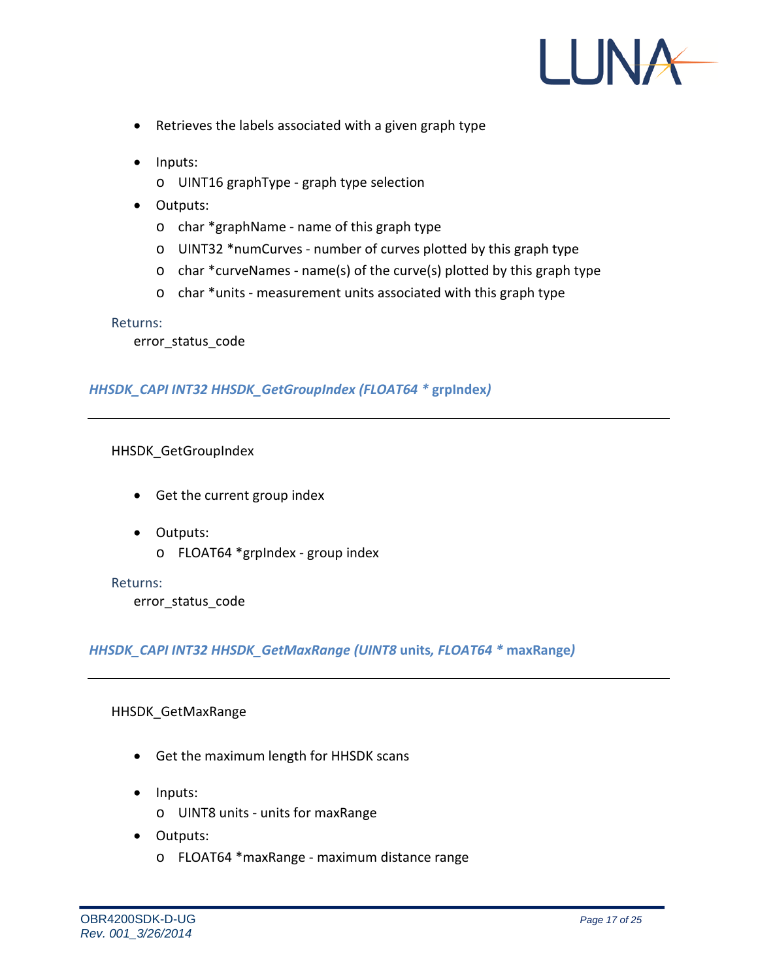![](_page_16_Picture_0.jpeg)

- Retrieves the labels associated with a given graph type
- Inputs:
	- o UINT16 graphType graph type selection
- Outputs:
	- o char \*graphName name of this graph type
	- o UINT32 \*numCurves number of curves plotted by this graph type
	- o char \*curveNames name(s) of the curve(s) plotted by this graph type
	- o char \*units measurement units associated with this graph type

error\_status\_code

### *HHSDK\_CAPI INT32 HHSDK\_GetGroupIndex (FLOAT64 \** **grpIndex***)*

HHSDK\_GetGroupIndex

- Get the current group index
- Outputs:
	- o FLOAT64 \*grpIndex group index

#### Returns:

error status code

*HHSDK\_CAPI INT32 HHSDK\_GetMaxRange (UINT8* **units***, FLOAT64 \** **maxRange***)*

#### HHSDK\_GetMaxRange

- Get the maximum length for HHSDK scans
- Inputs:
	- o UINT8 units units for maxRange
- Outputs:
	- o FLOAT64 \*maxRange maximum distance range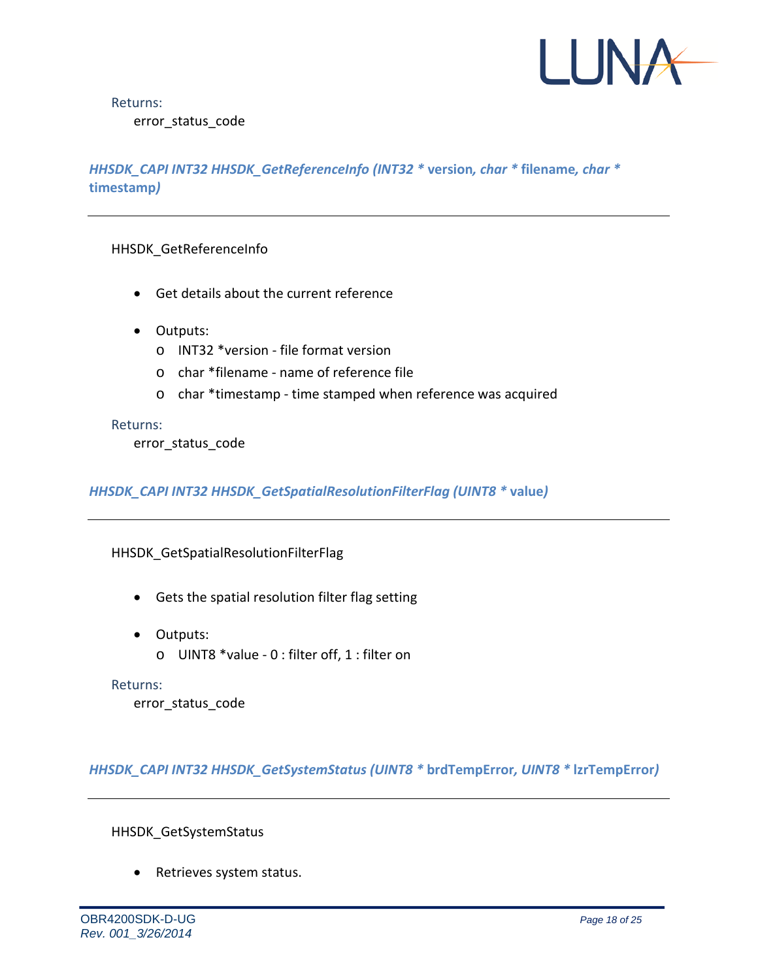![](_page_17_Picture_0.jpeg)

Returns: error\_status\_code

## *HHSDK\_CAPI INT32 HHSDK\_GetReferenceInfo (INT32 \** **version***, char \** **filename***, char \**  **timestamp***)*

HHSDK\_GetReferenceInfo

- Get details about the current reference
- Outputs:
	- o INT32 \*version file format version
	- o char \*filename name of reference file
	- o char \*timestamp time stamped when reference was acquired

Returns:

error\_status\_code

*HHSDK\_CAPI INT32 HHSDK\_GetSpatialResolutionFilterFlag (UINT8 \** **value***)*

HHSDK\_GetSpatialResolutionFilterFlag

- Gets the spatial resolution filter flag setting
- Outputs:
	- o UINT8 \*value 0 : filter off, 1 : filter on

Returns:

error status code

*HHSDK\_CAPI INT32 HHSDK\_GetSystemStatus (UINT8 \** **brdTempError***, UINT8 \** **lzrTempError***)*

HHSDK\_GetSystemStatus

• Retrieves system status.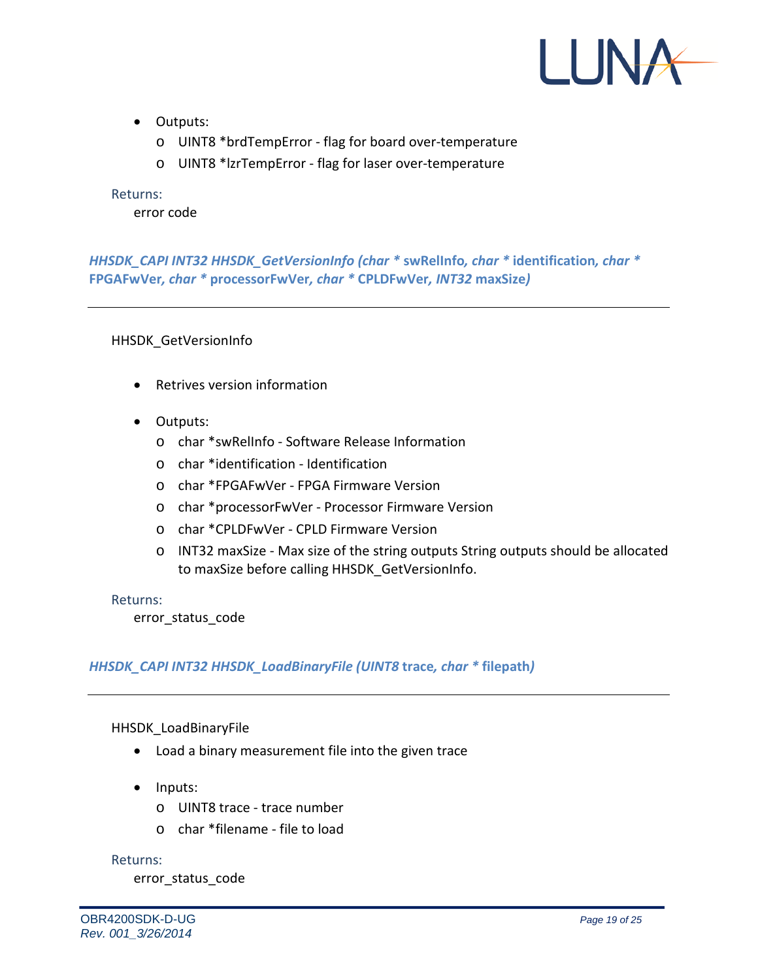![](_page_18_Picture_0.jpeg)

- Outputs:
	- o UINT8 \*brdTempError flag for board over-temperature
	- o UINT8 \*lzrTempError flag for laser over-temperature

error code

*HHSDK\_CAPI INT32 HHSDK\_GetVersionInfo (char \** **swRelInfo***, char \** **identification***, char \**  **FPGAFwVer***, char \** **processorFwVer***, char \** **CPLDFwVer***, INT32* **maxSize***)*

HHSDK\_GetVersionInfo

- Retrives version information
- Outputs:
	- o char \*swRelInfo Software Release Information
	- o char \*identification Identification
	- o char \*FPGAFwVer FPGA Firmware Version
	- o char \*processorFwVer Processor Firmware Version
	- o char \*CPLDFwVer CPLD Firmware Version
	- o INT32 maxSize Max size of the string outputs String outputs should be allocated to maxSize before calling HHSDK\_GetVersionInfo.

Returns:

error status code

#### *HHSDK\_CAPI INT32 HHSDK\_LoadBinaryFile (UINT8* **trace***, char \** **filepath***)*

HHSDK\_LoadBinaryFile

- Load a binary measurement file into the given trace
- Inputs:
	- o UINT8 trace trace number
	- o char \*filename file to load

Returns:

error status code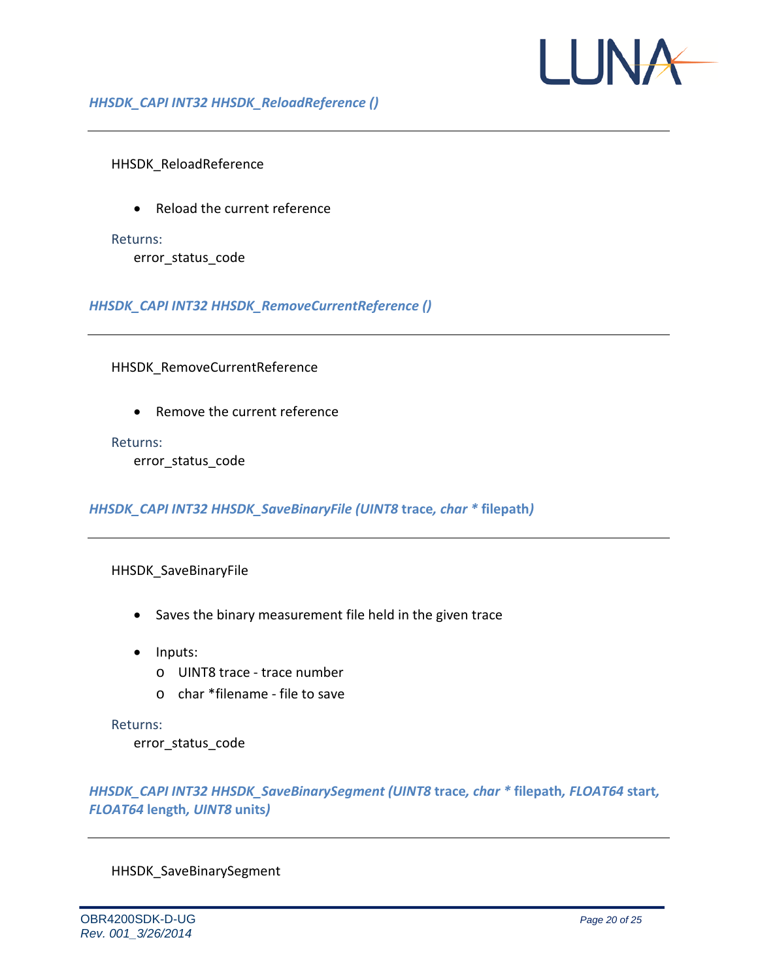![](_page_19_Picture_0.jpeg)

HHSDK\_ReloadReference

• Reload the current reference

Returns:

error\_status\_code

*HHSDK\_CAPI INT32 HHSDK\_RemoveCurrentReference ()*

HHSDK\_RemoveCurrentReference

• Remove the current reference

#### Returns:

error status code

*HHSDK\_CAPI INT32 HHSDK\_SaveBinaryFile (UINT8* **trace***, char \** **filepath***)*

### HHSDK\_SaveBinaryFile

- Saves the binary measurement file held in the given trace
- Inputs:
	- o UINT8 trace trace number
	- o char \*filename file to save

Returns:

error status code

*HHSDK\_CAPI INT32 HHSDK\_SaveBinarySegment (UINT8* **trace***, char \** **filepath***, FLOAT64* **start***, FLOAT64* **length***, UINT8* **units***)*

HHSDK\_SaveBinarySegment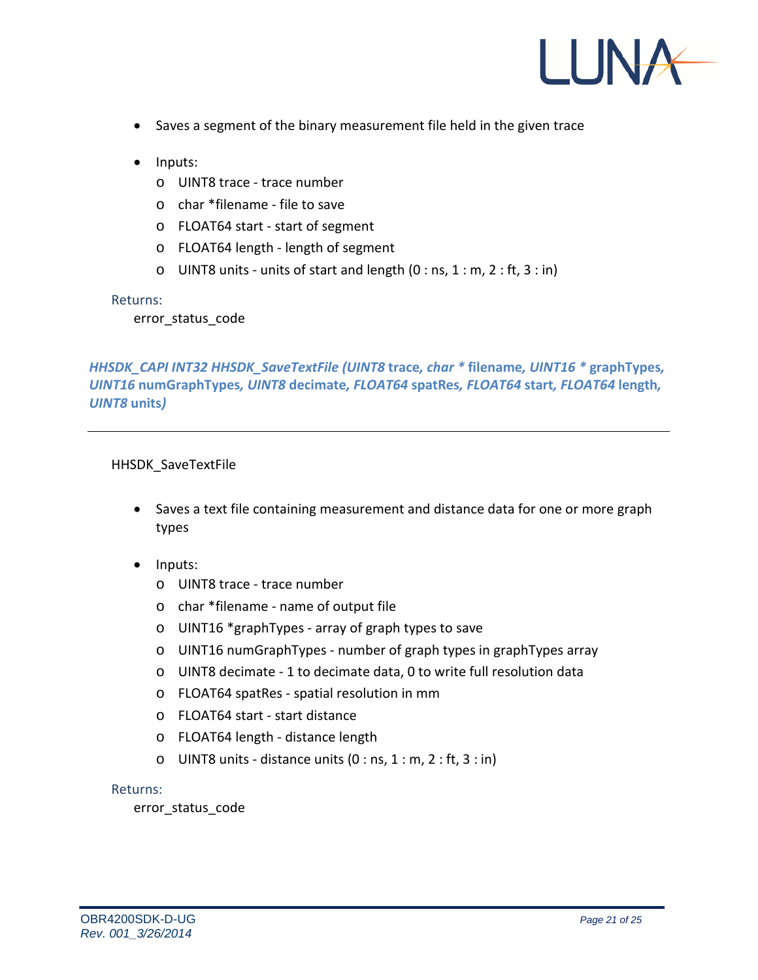![](_page_20_Picture_0.jpeg)

- Saves a segment of the binary measurement file held in the given trace
- Inputs:
	- o UINT8 trace trace number
	- o char \*filename file to save
	- o FLOAT64 start start of segment
	- o FLOAT64 length length of segment
	- $\circ$  UINT8 units units of start and length (0 : ns, 1 : m, 2 : ft, 3 : in)

error status code

*HHSDK\_CAPI INT32 HHSDK\_SaveTextFile (UINT8* **trace***, char \** **filename***, UINT16 \** **graphTypes***, UINT16* **numGraphTypes***, UINT8* **decimate***, FLOAT64* **spatRes***, FLOAT64* **start***, FLOAT64* **length***, UINT8* **units***)*

### HHSDK\_SaveTextFile

- Saves a text file containing measurement and distance data for one or more graph types
- Inputs:
	- o UINT8 trace trace number
	- o char \*filename name of output file
	- o UINT16 \*graphTypes array of graph types to save
	- o UINT16 numGraphTypes number of graph types in graphTypes array
	- o UINT8 decimate 1 to decimate data, 0 to write full resolution data
	- o FLOAT64 spatRes spatial resolution in mm
	- o FLOAT64 start start distance
	- o FLOAT64 length distance length
	- $\circ$  UINT8 units distance units (0 : ns, 1 : m, 2 : ft, 3 : in)

#### Returns:

error\_status\_code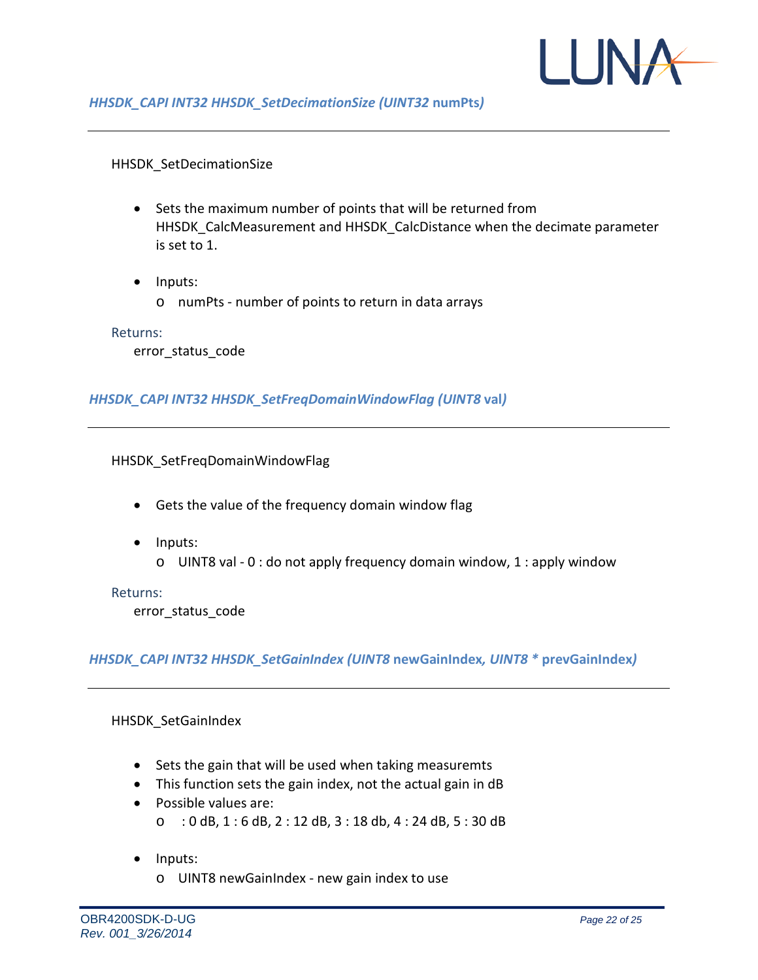![](_page_21_Picture_0.jpeg)

### HHSDK\_SetDecimationSize

- Sets the maximum number of points that will be returned from HHSDK\_CalcMeasurement and HHSDK\_CalcDistance when the decimate parameter is set to 1.
- Inputs:
	- o numPts number of points to return in data arrays

#### Returns:

error status code

### *HHSDK\_CAPI INT32 HHSDK\_SetFreqDomainWindowFlag (UINT8* **val***)*

#### HHSDK\_SetFreqDomainWindowFlag

- Gets the value of the frequency domain window flag
- Inputs:
	- o UINT8 val 0 : do not apply frequency domain window, 1 : apply window

#### Returns:

error status code

## *HHSDK\_CAPI INT32 HHSDK\_SetGainIndex (UINT8* **newGainIndex***, UINT8 \** **prevGainIndex***)*

#### HHSDK\_SetGainIndex

- Sets the gain that will be used when taking measuremts
- This function sets the gain index, not the actual gain in dB
- Possible values are: o : 0 dB, 1 : 6 dB, 2 : 12 dB, 3 : 18 db, 4 : 24 dB, 5 : 30 dB
- Inputs:
	- o UINT8 newGainIndex new gain index to use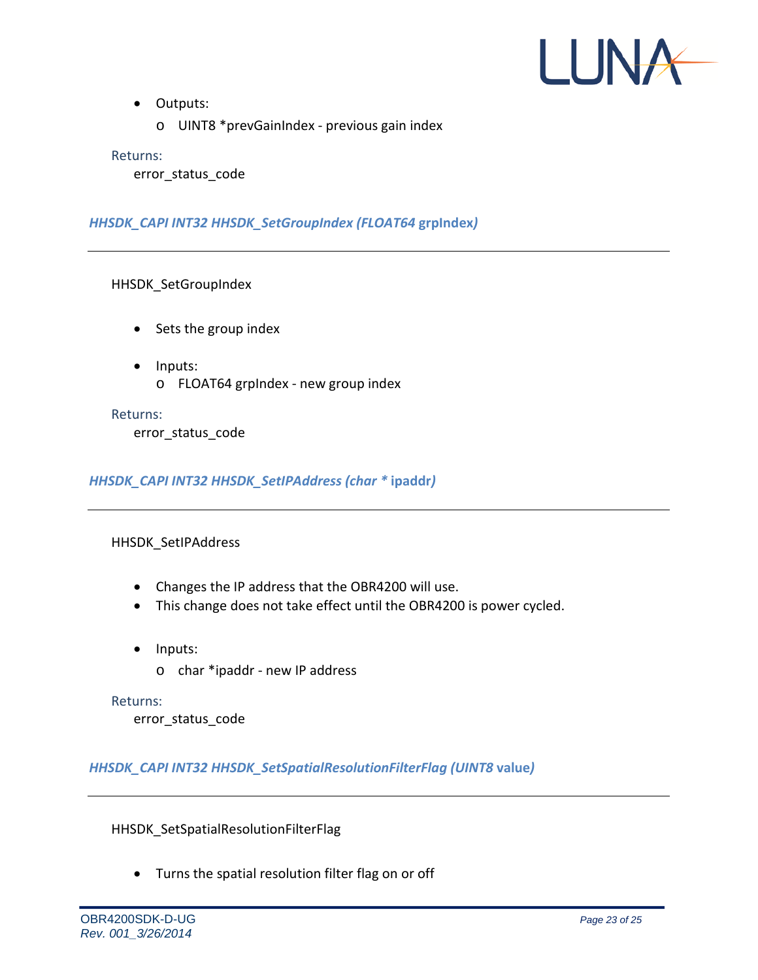![](_page_22_Picture_0.jpeg)

- Outputs:
	- o UINT8 \*prevGainIndex previous gain index

error\_status\_code

*HHSDK\_CAPI INT32 HHSDK\_SetGroupIndex (FLOAT64* **grpIndex***)*

HHSDK\_SetGroupIndex

- Sets the group index
- Inputs: o FLOAT64 grpIndex - new group index

Returns:

error status code

*HHSDK\_CAPI INT32 HHSDK\_SetIPAddress (char \** **ipaddr***)*

#### HHSDK\_SetIPAddress

- Changes the IP address that the OBR4200 will use.
- This change does not take effect until the OBR4200 is power cycled.
- Inputs:
	- o char \*ipaddr new IP address

#### Returns:

error\_status\_code

*HHSDK\_CAPI INT32 HHSDK\_SetSpatialResolutionFilterFlag (UINT8* **value***)*

HHSDK\_SetSpatialResolutionFilterFlag

• Turns the spatial resolution filter flag on or off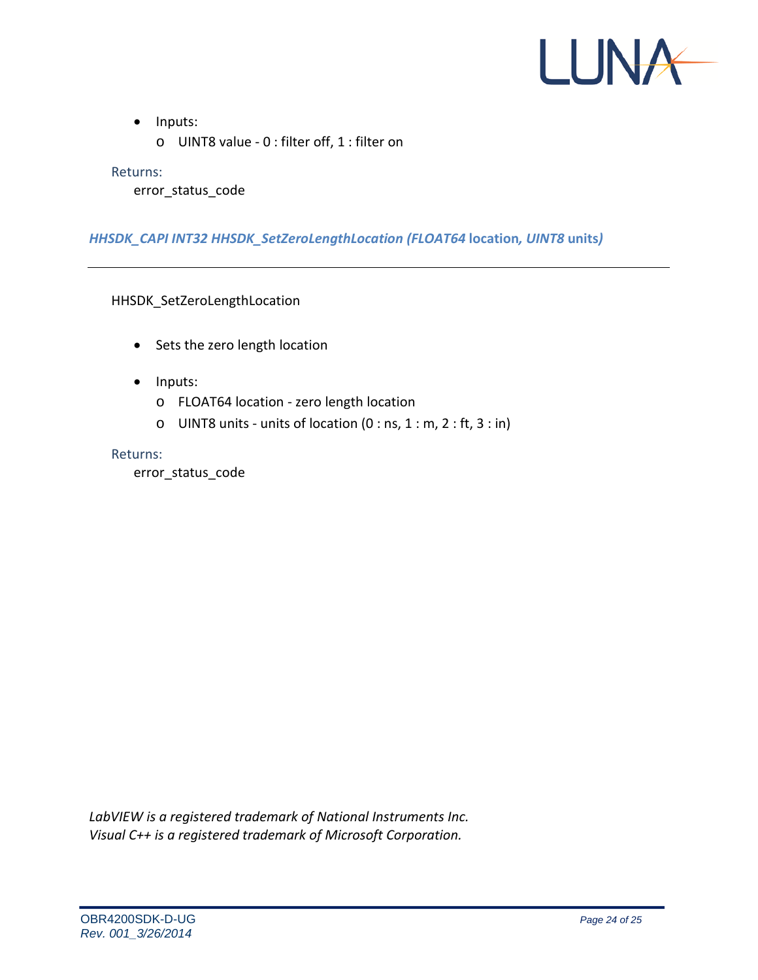![](_page_23_Picture_0.jpeg)

- Inputs:
	- o UINT8 value 0 : filter off, 1 : filter on

error status code

## *HHSDK\_CAPI INT32 HHSDK\_SetZeroLengthLocation (FLOAT64* **location***, UINT8* **units***)*

HHSDK SetZeroLengthLocation

- Sets the zero length location
- Inputs:
	- o FLOAT64 location zero length location
	- $\circ$  UINT8 units units of location (0 : ns, 1 : m, 2 : ft, 3 : in)

#### Returns:

error status code

*LabVIEW is a registered trademark of National Instruments Inc. Visual C++ is a registered trademark of Microsoft Corporation.*